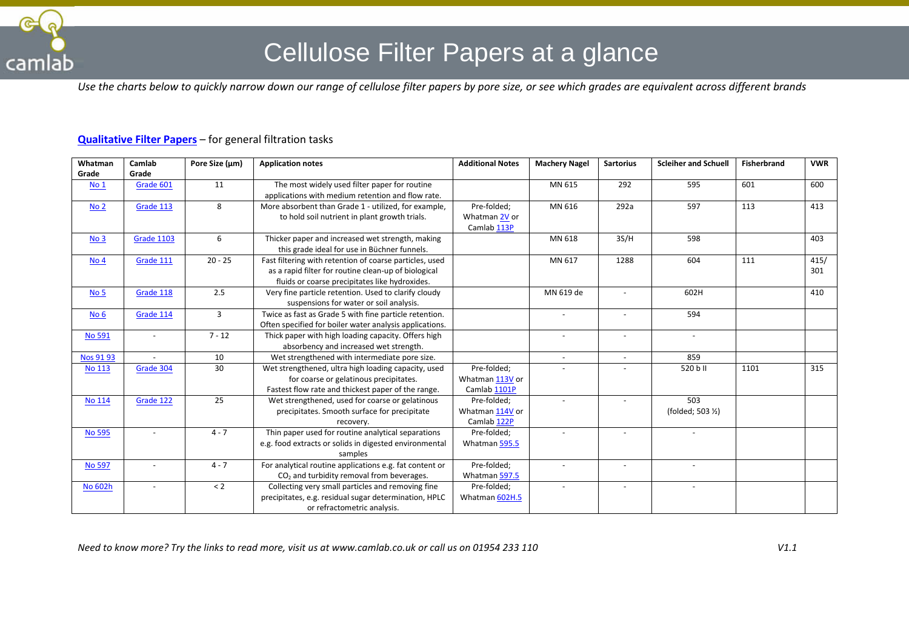

## Cellulose Filter Papers at a glance

*Use the charts below to quickly narrow down our range of cellulose filter papers by pore size, or see which grades are equivalent across different brands*

## **[Qualitative Filter Papers](http://www.camlab.co.uk/qualitative-filter-papers-c3572.aspx)** – for general filtration tasks

| Whatman          | Camlab            | Pore Size (µm) | <b>Application notes</b>                                | <b>Additional Notes</b> | <b>Machery Nagel</b> | <b>Sartorius</b>         | <b>Scleiher and Schuell</b> | <b>Fisherbrand</b> | <b>VWR</b> |
|------------------|-------------------|----------------|---------------------------------------------------------|-------------------------|----------------------|--------------------------|-----------------------------|--------------------|------------|
| Grade            | Grade             |                |                                                         |                         |                      |                          |                             |                    |            |
| <b>No 1</b>      | Grade 601         | 11             | The most widely used filter paper for routine           |                         | MN 615               | 292                      | 595                         | 601                | 600        |
|                  |                   |                | applications with medium retention and flow rate.       |                         |                      |                          |                             |                    |            |
| No <sub>2</sub>  | Grade 113         | 8              | More absorbent than Grade 1 - utilized, for example,    | Pre-folded:             | MN 616               | 292a                     | 597                         | 113                | 413        |
|                  |                   |                | to hold soil nutrient in plant growth trials.           | Whatman 2V or           |                      |                          |                             |                    |            |
|                  |                   |                |                                                         | Camlab 113P             |                      |                          |                             |                    |            |
| No <sub>3</sub>  | <b>Grade 1103</b> | 6              | Thicker paper and increased wet strength, making        |                         | MN 618               | 3S/H                     | 598                         |                    | 403        |
|                  |                   |                | this grade ideal for use in Büchner funnels.            |                         |                      |                          |                             |                    |            |
| No <sub>4</sub>  | Grade 111         | $20 - 25$      | Fast filtering with retention of coarse particles, used |                         | MN 617               | 1288                     | 604                         | 111                | 415/       |
|                  |                   |                | as a rapid filter for routine clean-up of biological    |                         |                      |                          |                             |                    | 301        |
|                  |                   |                | fluids or coarse precipitates like hydroxides.          |                         |                      |                          |                             |                    |            |
| No <sub>5</sub>  | Grade 118         | 2.5            | Very fine particle retention. Used to clarify cloudy    |                         | MN 619 de            | $\overline{a}$           | 602H                        |                    | 410        |
|                  |                   |                | suspensions for water or soil analysis.                 |                         |                      |                          |                             |                    |            |
| No <sub>6</sub>  | Grade 114         | $\overline{3}$ | Twice as fast as Grade 5 with fine particle retention.  |                         |                      |                          | 594                         |                    |            |
|                  |                   |                | Often specified for boiler water analysis applications. |                         |                      |                          |                             |                    |            |
| <b>No 591</b>    | $\overline{a}$    | $7 - 12$       | Thick paper with high loading capacity. Offers high     |                         | $\blacksquare$       | $\overline{\phantom{a}}$ | $\sim$                      |                    |            |
|                  |                   |                | absorbency and increased wet strength.                  |                         |                      |                          |                             |                    |            |
| <b>Nos 91 93</b> |                   | 10             | Wet strengthened with intermediate pore size.           |                         | $\blacksquare$       | $\overline{\phantom{a}}$ | 859                         |                    |            |
| <b>No 113</b>    | Grade 304         | 30             | Wet strengthened, ultra high loading capacity, used     | Pre-folded:             |                      |                          | 520 b II                    | 1101               | 315        |
|                  |                   |                | for coarse or gelatinous precipitates.                  | Whatman 113V or         |                      |                          |                             |                    |            |
|                  |                   |                | Fastest flow rate and thickest paper of the range.      | Camlab 1101P            |                      |                          |                             |                    |            |
| No 114           | Grade 122         | 25             | Wet strengthened, used for coarse or gelatinous         | Pre-folded;             |                      |                          | 503                         |                    |            |
|                  |                   |                | precipitates. Smooth surface for precipitate            | Whatman 114V or         |                      |                          | (folded; 503 1/2)           |                    |            |
|                  |                   |                | recovery.                                               | Camlab 122P             |                      |                          |                             |                    |            |
| <b>No 595</b>    |                   | $4 - 7$        | Thin paper used for routine analytical separations      | Pre-folded:             |                      |                          |                             |                    |            |
|                  |                   |                | e.g. food extracts or solids in digested environmental  | Whatman 595.5           |                      |                          |                             |                    |            |
|                  |                   |                | samples                                                 |                         |                      |                          |                             |                    |            |
| <b>No 597</b>    |                   | $4 - 7$        | For analytical routine applications e.g. fat content or | Pre-folded;             |                      | $\overline{\phantom{a}}$ |                             |                    |            |
|                  |                   |                | $CO2$ and turbidity removal from beverages.             | Whatman 597.5           |                      |                          |                             |                    |            |
| No 602h          |                   | < 2            | Collecting very small particles and removing fine       | Pre-folded;             |                      |                          |                             |                    |            |
|                  |                   |                | precipitates, e.g. residual sugar determination, HPLC   | Whatman 602H.5          |                      |                          |                             |                    |            |
|                  |                   |                | or refractometric analysis.                             |                         |                      |                          |                             |                    |            |

*Need to know more? Try the links to read more, visit us at www.camlab.co.uk or call us on 01954 233 110 V1.1*